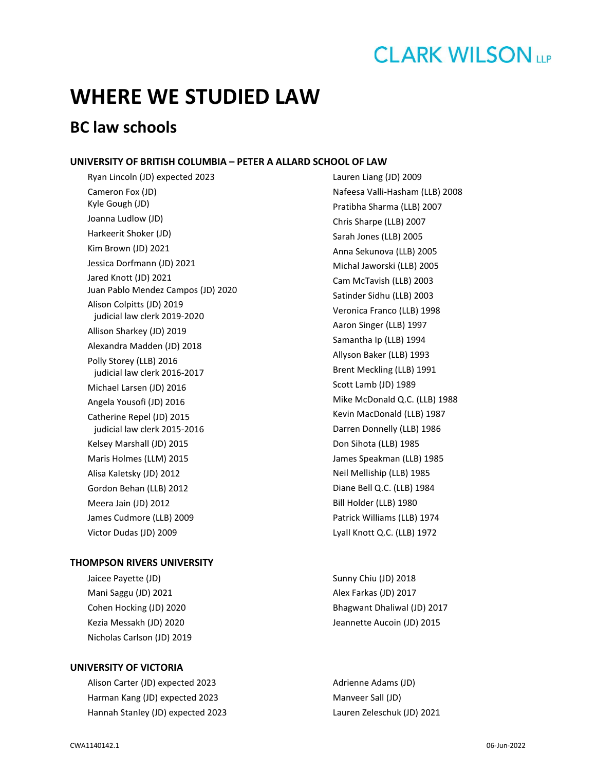# **CLARK WILSON**

# **WHERE WE STUDIED LAW**

## **BC law schools**

#### **UNIVERSITY OF BRITISH COLUMBIA – PETER A ALLARD SCHOOL OF LAW**

Ryan Lincoln (JD) expected 2023 Cameron Fox (JD) Kyle Gough (JD) Joanna Ludlow (JD) Harkeerit Shoker (JD) Kim Brown (JD) 2021 Jessica Dorfmann (JD) 2021 Jared Knott (JD) 2021 Juan Pablo Mendez Campos (JD) 2020 Alison Colpitts (JD) 2019 judicial law clerk 2019-2020 Allison Sharkey (JD) 2019 Alexandra Madden (JD) 2018 Polly Storey (LLB) 2016 judicial law clerk 2016-2017 Michael Larsen (JD) 2016 Angela Yousofi (JD) 2016 Catherine Repel (JD) 2015 judicial law clerk 2015-2016 Kelsey Marshall (JD) 2015 Maris Holmes (LLM) 2015 Alisa Kaletsky (JD) 2012 Gordon Behan (LLB) 2012 Meera Jain (JD) 2012 James Cudmore (LLB) 2009 Victor Dudas (JD) 2009

#### **THOMPSON RIVERS UNIVERSITY**

Jaicee Payette (JD) Mani Saggu (JD) 2021 Cohen Hocking (JD) 2020 Kezia Messakh (JD) 2020 Nicholas Carlson (JD) 2019

#### **UNIVERSITY OF VICTORIA**

Alison Carter (JD) expected 2023 Harman Kang (JD) expected 2023 Hannah Stanley (JD) expected 2023 Lauren Liang (JD) 2009 Nafeesa Valli-Hasham (LLB) 2008 Pratibha Sharma (LLB) 2007 Chris Sharpe (LLB) 2007 Sarah Jones (LLB) 2005 Anna Sekunova (LLB) 2005 Michal Jaworski (LLB) 2005 Cam McTavish (LLB) 2003 Satinder Sidhu (LLB) 2003 Veronica Franco (LLB) 1998 Aaron Singer (LLB) 1997 Samantha Ip (LLB) 1994 Allyson Baker (LLB) 1993 Brent Meckling (LLB) 1991 Scott Lamb (JD) 1989 Mike McDonald Q.C. (LLB) 1988 Kevin MacDonald (LLB) 1987 Darren Donnelly (LLB) 1986 Don Sihota (LLB) 1985 James Speakman (LLB) 1985 Neil Melliship (LLB) 1985 Diane Bell Q.C. (LLB) 1984 Bill Holder (LLB) 1980 Patrick Williams (LLB) 1974 Lyall Knott Q.C. (LLB) 1972

Sunny Chiu (JD) 2018 Alex Farkas (JD) 2017 Bhagwant Dhaliwal (JD) 2017 Jeannette Aucoin (JD) 2015

Adrienne Adams (JD) Manveer Sall (JD) Lauren Zeleschuk (JD) 2021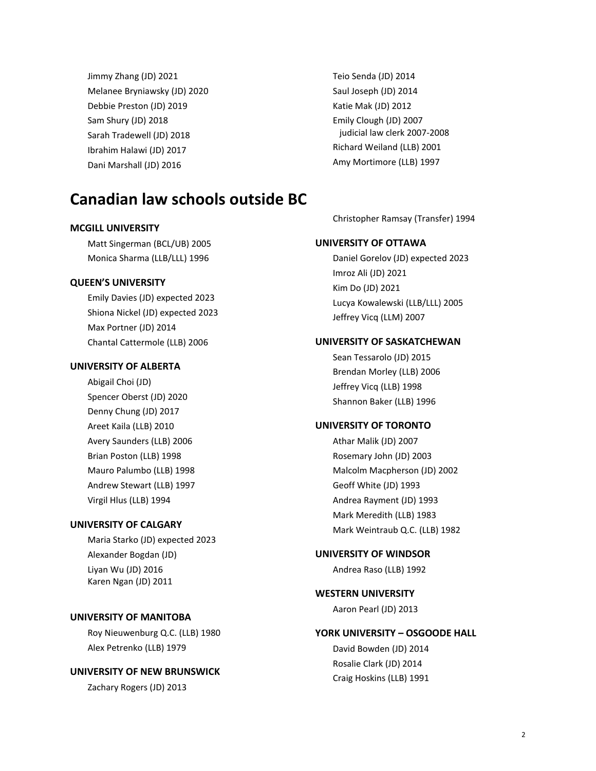Jimmy Zhang (JD) 2021 Melanee Bryniawsky (JD) 2020 Debbie Preston (JD) 2019 Sam Shury (JD) 2018 Sarah Tradewell (JD) 2018 Ibrahim Halawi (JD) 2017 Dani Marshall (JD) 2016

### **Canadian law schools outside BC**

#### **MCGILL UNIVERSITY**

Matt Singerman (BCL/UB) 2005 Monica Sharma (LLB/LLL) 1996

#### **QUEEN'S UNIVERSITY**

Emily Davies (JD) expected 2023 Shiona Nickel (JD) expected 2023 Max Portner (JD) 2014 Chantal Cattermole (LLB) 2006

#### **UNIVERSITY OF ALBERTA**

Abigail Choi (JD) Spencer Oberst (JD) 2020 Denny Chung (JD) 2017 Areet Kaila (LLB) 2010 Avery Saunders (LLB) 2006 Brian Poston (LLB) 1998 Mauro Palumbo (LLB) 1998 Andrew Stewart (LLB) 1997 Virgil Hlus (LLB) 1994

### **UNIVERSITY OF CALGARY**

Maria Starko (JD) expected 2023 Alexander Bogdan (JD) Liyan Wu (JD) 2016 Karen Ngan (JD) 2011

### **UNIVERSITY OF MANITOBA**

Roy Nieuwenburg Q.C. (LLB) 1980 Alex Petrenko (LLB) 1979

#### **UNIVERSITY OF NEW BRUNSWICK**

Zachary Rogers (JD) 2013

Teio Senda (JD) 2014 Saul Joseph (JD) 2014 Katie Mak (JD) 2012 Emily Clough (JD) 2007 judicial law clerk 2007-2008 Richard Weiland (LLB) 2001 Amy Mortimore (LLB) 1997

Christopher Ramsay (Transfer) 1994

#### **UNIVERSITY OF OTTAWA**

Daniel Gorelov (JD) expected 2023 Imroz Ali (JD) 2021 Kim Do (JD) 2021 Lucya Kowalewski (LLB/LLL) 2005 Jeffrey Vicq (LLM) 2007

#### **UNIVERSITY OF SASKATCHEWAN**

Sean Tessarolo (JD) 2015 Brendan Morley (LLB) 2006 Jeffrey Vicq (LLB) 1998 Shannon Baker (LLB) 1996

#### **UNIVERSITY OF TORONTO**

Athar Malik (JD) 2007 Rosemary John (JD) 2003 Malcolm Macpherson (JD) 2002 Geoff White (JD) 1993 Andrea Rayment (JD) 1993 Mark Meredith (LLB) 1983 Mark Weintraub Q.C. (LLB) 1982

#### **UNIVERSITY OF WINDSOR**

Andrea Raso (LLB) 1992

#### **WESTERN UNIVERSITY**

Aaron Pearl (JD) 2013

#### **YORK UNIVERSITY – OSGOODE HALL**

David Bowden (JD) 2014 Rosalie Clark (JD) 2014 Craig Hoskins (LLB) 1991